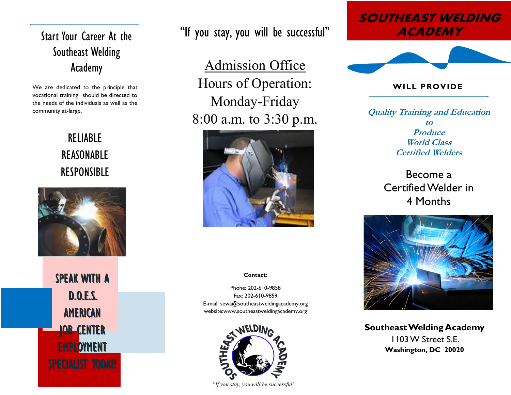# Start Your Career At the Southeast Welding Academy

We are dedicated to the principle that vocational training should be directed to the needs of the individuals as well as the community at-large.

# RELIABLE REASONABLE RESPONSIBLE



SPEAK WITH A  $D.0.E.S.$ AMERICAN JOB CENTER EMPLOYMENT

"If you stay, you will be successful"

Admission Office Hours of Operation: Monday-Friday 8:00 a.m. to 3:30 p.m.



### **Contact:**

Phone: 202-610-9858 Fax: 202-610-9859 E-mail: sewa@southeastweldingacademy.org website:www.southeastweldingacademy.org



"If you stay, you will be successful"

# **SOUTHEAST WELDING ACADEMY**



## **WILL PROVIDE**

**Quality Training and Education to Produce World Class Certified Welders**

> Become a Certified Welder in 4 Months



**Southeast Welding Academy** 1103 W Street S.E. **Washington, DC 20020**